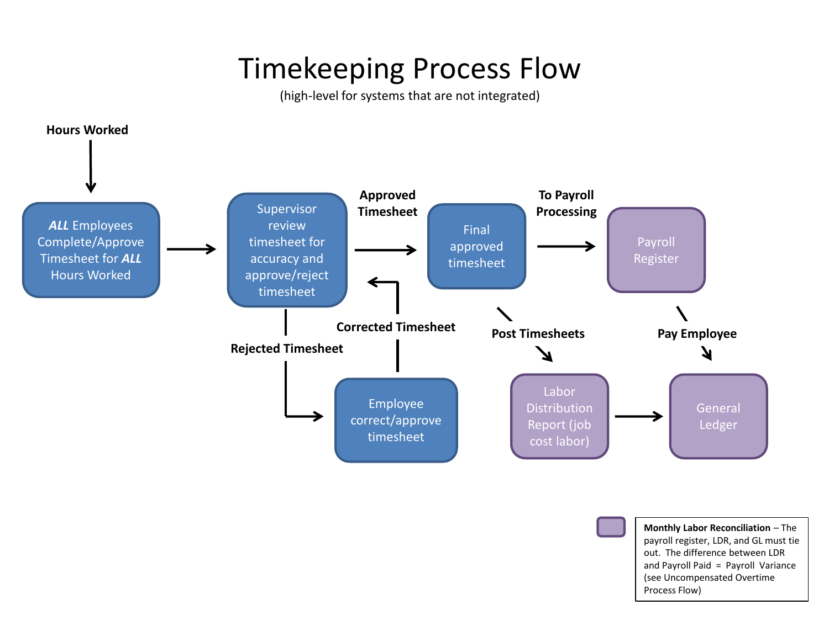## Timekeeping Process Flow

(high-level for systems that are not integrated)



**Monthly Labor Reconciliation** – The payroll register, LDR, and GL must tie out. The difference between LDR and Payroll Paid = Payroll Variance (see Uncompensated Overtime Process Flow)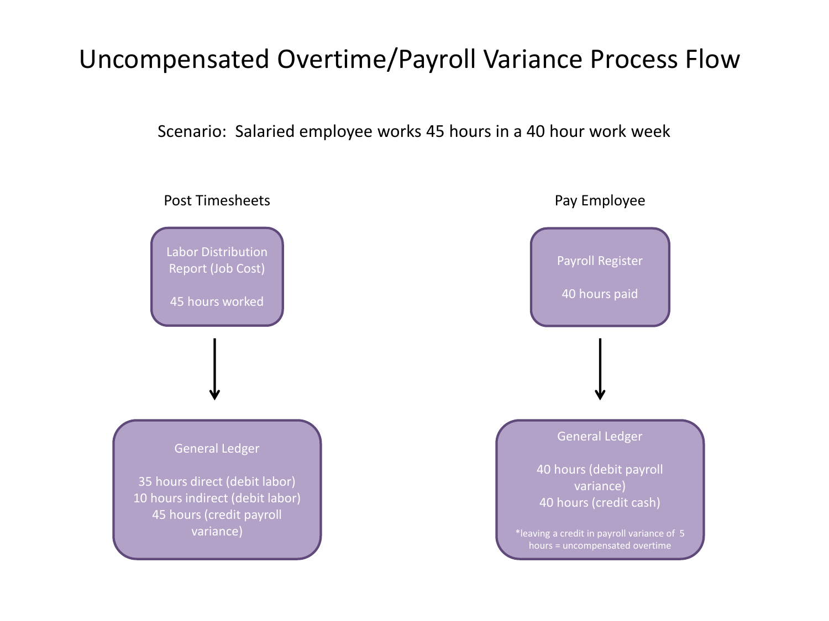## Uncompensated Overtime/Payroll Variance Process Flow

Scenario: Salaried employee works 45 hours in a 40 hour work week

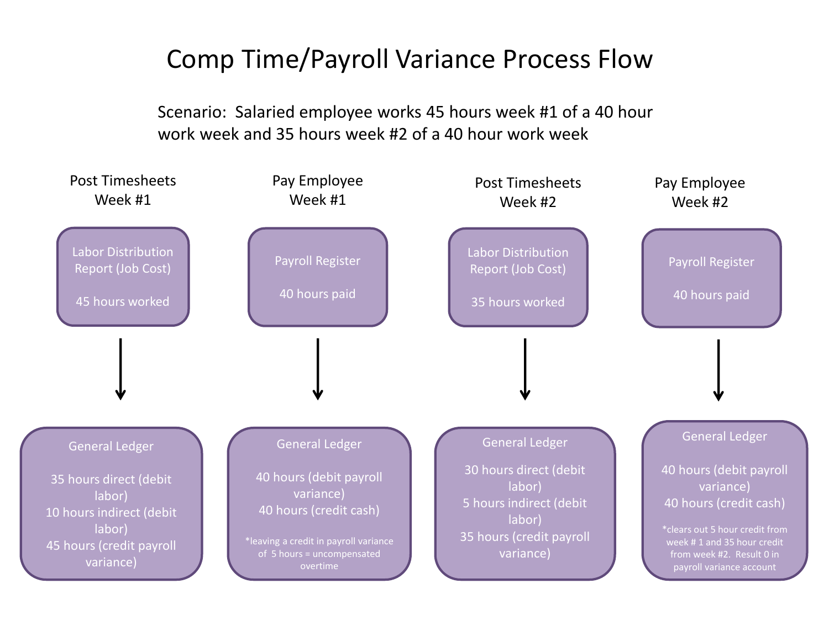## Comp Time/Payroll Variance Process Flow

Scenario: Salaried employee works 45 hours week #1 of a 40 hour work week and 35 hours week #2 of a 40 hour work week